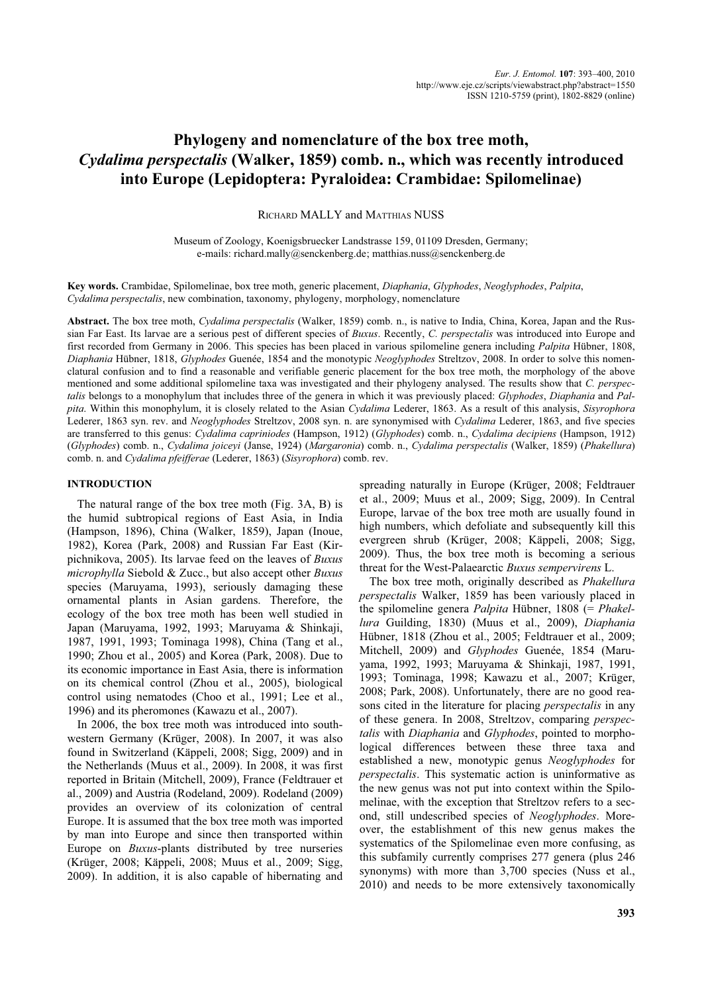# **Phylogeny and nomenclature of the box tree moth,** *Cydalima perspectalis* **(Walker, 1859) comb. n., which was recently introduced into Europe (Lepidoptera: Pyraloidea: Crambidae: Spilomelinae)**

RICHARD MALLY and MATTHIAS NUSS

Museum of Zoology, Koenigsbruecker Landstrasse 159, 01109 Dresden, Germany; e-mails: richard.mally@senckenberg.de; matthias.nuss@senckenberg.de

**Key words.** Crambidae, Spilomelinae, box tree moth, generic placement, *Diaphania*, *Glyphodes*, *Neoglyphodes*, *Palpita*, *Cydalima perspectalis*, new combination, taxonomy, phylogeny, morphology, nomenclature

**Abstract.** The box tree moth, *Cydalima perspectalis* (Walker, 1859) comb. n., is native to India, China, Korea, Japan and the Russian Far East. Its larvae are a serious pest of different species of *Buxus*. Recently, *C. perspectalis* was introduced into Europe and first recorded from Germany in 2006. This species has been placed in various spilomeline genera including *Palpita* Hübner, 1808, *Diaphania* Hübner, 1818, *Glyphodes* Guenée, 1854 and the monotypic *Neoglyphodes* Streltzov, 2008. In order to solve this nomenclatural confusion and to find a reasonable and verifiable generic placement for the box tree moth, the morphology of the above mentioned and some additional spilomeline taxa was investigated and their phylogeny analysed. The results show that *C. perspectalis* belongs to a monophylum that includes three of the genera in which it was previously placed: *Glyphodes*, *Diaphania* and *Palpita*. Within this monophylum, it is closely related to the Asian *Cydalima* Lederer, 1863. As a result of this analysis, *Sisyrophora* Lederer, 1863 syn. rev. and *Neoglyphodes* Streltzov, 2008 syn. n. are synonymised with *Cydalima* Lederer, 1863, and five species are transferred to this genus: *Cydalima capriniodes* (Hampson, 1912) (*Glyphodes*) comb. n., *Cydalima decipiens* (Hampson, 1912) (*Glyphodes*) comb. n., *Cydalima joiceyi* (Janse, 1924) (*Margaronia*) comb. n., *Cydalima perspectalis* (Walker, 1859) (*Phakellura*) comb. n. and *Cydalima pfeifferae* (Lederer, 1863) (*Sisyrophora*) comb. rev.

## **INTRODUCTION**

The natural range of the box tree moth (Fig. 3A, B) is the humid subtropical regions of East Asia, in India (Hampson, 1896), China (Walker, 1859), Japan (Inoue, 1982), Korea (Park, 2008) and Russian Far East (Kirpichnikova, 2005). Its larvae feed on the leaves of *Buxus microphylla* Siebold & Zucc., but also accept other *Buxus* species (Maruyama, 1993), seriously damaging these ornamental plants in Asian gardens. Therefore, the ecology of the box tree moth has been well studied in Japan (Maruyama, 1992, 1993; Maruyama & Shinkaji, 1987, 1991, 1993; Tominaga 1998), China (Tang et al., 1990; Zhou et al., 2005) and Korea (Park, 2008). Due to its economic importance in East Asia, there is information on its chemical control (Zhou et al., 2005), biological control using nematodes (Choo et al., 1991; Lee et al., 1996) and its pheromones (Kawazu et al., 2007).

In 2006, the box tree moth was introduced into southwestern Germany (Krüger, 2008). In 2007, it was also found in Switzerland (Käppeli, 2008; Sigg, 2009) and in the Netherlands (Muus et al., 2009). In 2008, it was first reported in Britain (Mitchell, 2009), France (Feldtrauer et al., 2009) and Austria (Rodeland, 2009). Rodeland (2009) provides an overview of its colonization of central Europe. It is assumed that the box tree moth was imported by man into Europe and since then transported within Europe on *Buxus*-plants distributed by tree nurseries (Krüger, 2008; Käppeli, 2008; Muus et al., 2009; Sigg, 2009). In addition, it is also capable of hibernating and

spreading naturally in Europe (Krüger, 2008; Feldtrauer et al., 2009; Muus et al., 2009; Sigg, 2009). In Central Europe, larvae of the box tree moth are usually found in high numbers, which defoliate and subsequently kill this evergreen shrub (Krüger, 2008; Käppeli, 2008; Sigg, 2009). Thus, the box tree moth is becoming a serious threat for the West-Palaearctic *Buxus sempervirens* L.

The box tree moth, originally described as *Phakellura perspectalis* Walker, 1859 has been variously placed in the spilomeline genera *Palpita* Hübner, 1808 (= *Phakellura* Guilding, 1830) (Muus et al., 2009), *Diaphania* Hübner, 1818 (Zhou et al., 2005; Feldtrauer et al., 2009; Mitchell, 2009) and *Glyphodes* Guenée, 1854 (Maruyama, 1992, 1993; Maruyama & Shinkaji, 1987, 1991, 1993; Tominaga, 1998; Kawazu et al., 2007; Krüger, 2008; Park, 2008). Unfortunately, there are no good reasons cited in the literature for placing *perspectalis* in any of these genera. In 2008, Streltzov, comparing *perspectalis* with *Diaphania* and *Glyphodes*, pointed to morphological differences between these three taxa and established a new, monotypic genus *Neoglyphodes* for *perspectalis*. This systematic action is uninformative as the new genus was not put into context within the Spilomelinae, with the exception that Streltzov refers to a second, still undescribed species of *Neoglyphodes*. Moreover, the establishment of this new genus makes the systematics of the Spilomelinae even more confusing, as this subfamily currently comprises 277 genera (plus 246 synonyms) with more than 3,700 species (Nuss et al., 2010) and needs to be more extensively taxonomically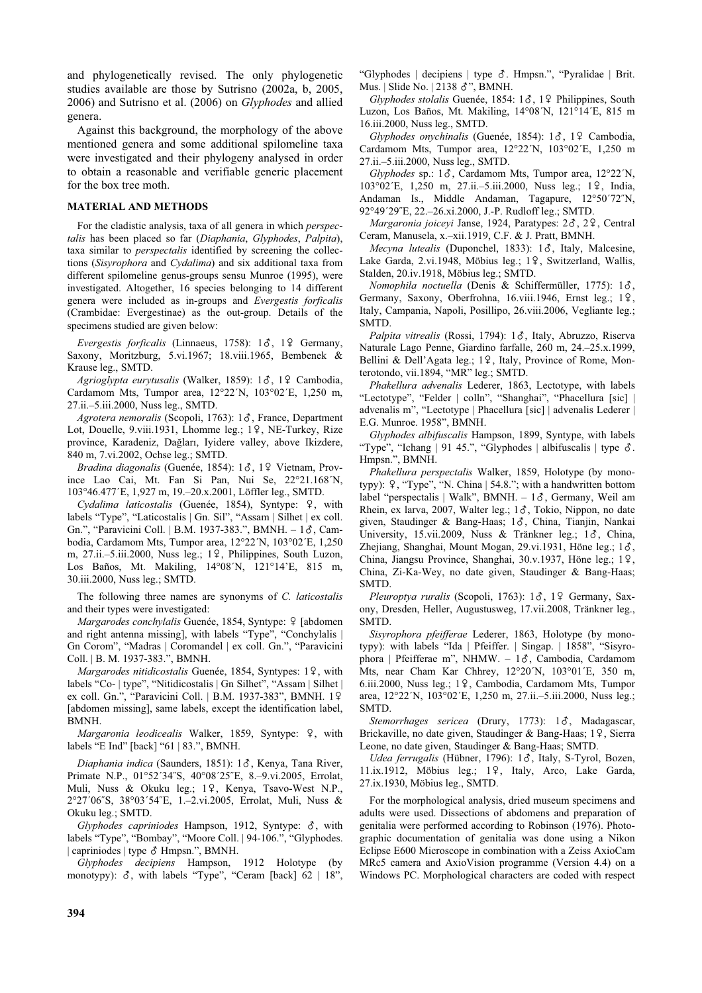and phylogenetically revised. The only phylogenetic studies available are those by Sutrisno (2002a, b, 2005, 2006) and Sutrisno et al. (2006) on *Glyphodes* and allied genera.

Against this background, the morphology of the above mentioned genera and some additional spilomeline taxa were investigated and their phylogeny analysed in order to obtain a reasonable and verifiable generic placement for the box tree moth.

## **MATERIAL AND METHODS**

For the cladistic analysis, taxa of all genera in which *perspectalis* has been placed so far (*Diaphania*, *Glyphodes*, *Palpita*), taxa similar to *perspectalis* identified by screening the collections (*Sisyrophora* and *Cydalima*) and six additional taxa from different spilomeline genus-groups sensu Munroe (1995), were investigated. Altogether, 16 species belonging to 14 different genera were included as in-groups and *Evergestis forficalis* (Crambidae: Evergestinae) as the out-group. Details of the specimens studied are given below:

Evergestis forficalis (Linnaeus, 1758): 18, 19 Germany, Saxony, Moritzburg, 5.vi.1967; 18.viii.1965, Bembenek & Krause leg., SMTD.

Agrioglypta eurytusalis (Walker, 1859): 18, 19 Cambodia, Cardamom Mts, Tumpor area, 12°22´N, 103°02´E, 1,250 m, 27.ii.–5.iii.2000, Nuss leg., SMTD.

Agrotera nemoralis (Scopoli, 1763): 1 $\delta$ , France, Department Lot, Douelle, 9.viii.1931, Lhomme leg.; 19, NE-Turkey, Rize province, Karadeniz, Dağları, Iyidere valley, above Ikizdere, 840 m, 7.vi.2002, Ochse leg.; SMTD.

*Bradina diagonalis* (Guenée, 1854): 1%, 1& Vietnam, Province Lao Cai, Mt. Fan Si Pan, Nui Se, 22°21.168´N, 103°46.477´E, 1,927 m, 19.–20.x.2001, Löffler leg., SMTD.

*Cydalima laticostalis* (Guenée, 1854), Syntype: &, with labels "Type", "Laticostalis | Gn. Sil", "Assam | Silhet | ex coll. Gn.", "Paravicini Coll. | B.M. 1937-383.", BMNH. - 18, Cambodia, Cardamom Mts, Tumpor area, 12°22´N, 103°02´E, 1,250 m, 27.ii.–5.iii.2000, Nuss leg.; 19, Philippines, South Luzon, Los Baños, Mt. Makiling, 14°08´N, 121°14'E, 815 m, 30.iii.2000, Nuss leg.; SMTD.

The following three names are synonyms of *C. laticostalis* and their types were investigated:

*Margarodes conchylalis Guenée, 1854, Syntype: 9 [abdomen* and right antenna missing], with labels "Type", "Conchylalis | Gn Corom", "Madras | Coromandel | ex coll. Gn.", "Paravicini Coll. | B. M. 1937-383.", BMNH.

*Margarodes nitidicostalis* Guenée, 1854, Syntypes: 19, with labels "Co- | type", "Nitidicostalis | Gn Silhet", "Assam | Silhet | ex coll. Gn.", "Paravicini Coll. | B.M. 1937-383", BMNH. 19 [abdomen missing], same labels, except the identification label, BMNH.

*Margaronia leodicealis* Walker, 1859, Syntype: 9, with labels "E Ind" [back] "61 | 83.", BMNH.

*Diaphania indica* (Saunders, 1851): 1%, Kenya, Tana River, Primate N.P., 01°52´34˝S, 40°08´25˝E, 8.–9.vi.2005, Errolat, Muli, Nuss & Okuku leg.; 19, Kenya, Tsavo-West N.P., 2°27´06˝S, 38°03´54˝E, 1.–2.vi.2005, Errolat, Muli, Nuss & Okuku leg.; SMTD.

*Glyphodes capriniodes* Hampson, 1912, Syntype: %, with labels "Type", "Bombay", "Moore Coll. | 94-106.", "Glyphodes. | capriniodes | type  $\delta$  Hmpsn.", BMNH.

*Glyphodes decipiens* Hampson, 1912 Holotype (by monotypy):  $\delta$ , with labels "Type", "Ceram [back]  $62 \mid 18$ ",

"Glyphodes | decipiens | type  $\delta$ . Hmpsn.", "Pyralidae | Brit. Mus. | Slide No. | 2138 &", BMNH.

*Glyphodes stolalis* Guenée, 1854: 1 $\delta$ , 1 $\Omega$  Philippines, South Luzon, Los Baños, Mt. Makiling, 14°08´N, 121°14´E, 815 m 16.iii.2000, Nuss leg., SMTD.

*Glyphodes onychinalis* (Guenée, 1854): 13, 19 Cambodia, Cardamom Mts, Tumpor area, 12°22´N, 103°02´E, 1,250 m 27.ii.–5.iii.2000, Nuss leg., SMTD.

*Glyphodes* sp.: 1%, Cardamom Mts, Tumpor area, 12°22´N, 103°02´E, 1,250 m, 27.ii.-5.iii.2000, Nuss leg.; 19, India, Andaman Is., Middle Andaman, Tagapure, 12°50´72˝N, 92°49´29˝E, 22.–26.xi.2000, J.-P. Rudloff leg.; SMTD.

*Margaronia joiceyi* Janse, 1924, Paratypes: 2%, 2&, Central Ceram, Manusela, x.–xii.1919, C.F. & J. Pratt, BMNH.

*Mecyna lutealis* (Duponchel, 1833): 1 $\delta$ , Italy, Malcesine, Lake Garda, 2.vi.1948, Möbius leg.; 19, Switzerland, Wallis, Stalden, 20.iv.1918, Möbius leg.; SMTD.

*Nomophila noctuella* (Denis & Schiffermüller, 1775): 1%, Germany, Saxony, Oberfrohna, 16.viii.1946, Ernst leg.; 19, Italy, Campania, Napoli, Posillipo, 26.viii.2006, Vegliante leg.; SMTD.

*Palpita vitrealis* (Rossi, 1794): 1%, Italy, Abruzzo, Riserva Naturale Lago Penne, Giardino farfalle, 260 m, 24.–25.x.1999, Bellini & Dell'Agata leg.; 19, Italy, Province of Rome, Monterotondo, vii.1894, "MR" leg.; SMTD.

*Phakellura advenalis* Lederer, 1863, Lectotype, with labels "Lectotype", "Felder | colln", "Shanghai", "Phacellura [sic] | advenalis m", "Lectotype | Phacellura [sic] | advenalis Lederer | E.G. Munroe. 1958", BMNH.

*Glyphodes albifuscalis* Hampson, 1899, Syntype, with labels "Type", "Ichang | 91 45.", "Glyphodes | albifuscalis | type  $\delta$ . Hmpsn.", BMNH.

*Phakellura perspectalis* Walker, 1859, Holotype (by monotypy): &, "Type", "N. China | 54.8."; with a handwritten bottom label "perspectalis | Walk", BMNH. -  $1\delta$ , Germany, Weil am Rhein, ex larva, 2007, Walter leg.;  $1\delta$ , Tokio, Nippon, no date given, Staudinger & Bang-Haas; 1%, China, Tianjin, Nankai University, 15.vii.2009, Nuss & Tränkner leg.; 18, China, Zhejiang, Shanghai, Mount Mogan, 29.vi.1931, Höne leg.; 18, China, Jiangsu Province, Shanghai, 30.v.1937, Höne leg.; 19, China, Zi-Ka-Wey, no date given, Staudinger & Bang-Haas; SMTD.

*Pleuroptya ruralis* (Scopoli, 1763): 1 $\delta$ , 1 $\Omega$  Germany, Saxony, Dresden, Heller, Augustusweg, 17.vii.2008, Tränkner leg., SMTD.

*Sisyrophora pfeifferae* Lederer, 1863, Holotype (by monotypy): with labels "Ida | Pfeiffer. | Singap. | 1858", "Sisyrophora | Pfeifferae m", NHMW. –  $1\delta$ , Cambodia, Cardamom Mts, near Cham Kar Chhrey, 12°20´N, 103°01´E, 350 m, 6.iii.2000, Nuss leg.; 19, Cambodia, Cardamom Mts, Tumpor area, 12°22´N, 103°02´E, 1,250 m, 27.ii.–5.iii.2000, Nuss leg.; SMTD.

*Stemorrhages sericea* (Drury, 1773): 13, Madagascar, Brickaville, no date given, Staudinger & Bang-Haas; 19, Sierra Leone, no date given, Staudinger & Bang-Haas; SMTD.

*Udea ferrugalis* (Hübner, 1796): 1%, Italy, S-Tyrol, Bozen, 11.ix.1912, Möbius leg.;  $1\frac{9}{7}$ , Italy, Arco, Lake Garda, 27.ix.1930, Möbius leg., SMTD.

For the morphological analysis, dried museum specimens and adults were used. Dissections of abdomens and preparation of genitalia were performed according to Robinson (1976). Photographic documentation of genitalia was done using a Nikon Eclipse E600 Microscope in combination with a Zeiss AxioCam MRc5 camera and AxioVision programme (Version 4.4) on a Windows PC. Morphological characters are coded with respect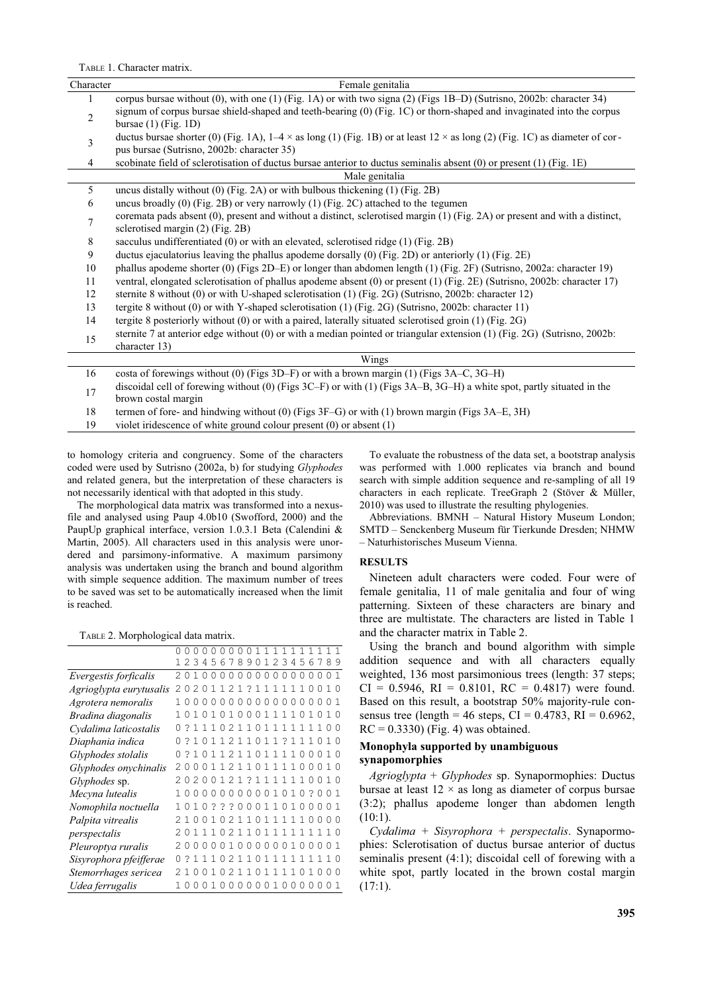TABLE 1. Character matrix.

| Character      | Female genitalia                                                                                                                                               |  |  |  |  |  |  |  |  |
|----------------|----------------------------------------------------------------------------------------------------------------------------------------------------------------|--|--|--|--|--|--|--|--|
| 1              | corpus bursae without (0), with one (1) (Fig. 1A) or with two signa (2) (Figs 1B-D) (Sutrisno, 2002b: character 34)                                            |  |  |  |  |  |  |  |  |
| $\overline{2}$ | signum of corpus bursae shield-shaped and teeth-bearing (0) (Fig. 1C) or thorn-shaped and invaginated into the corpus<br>bursae $(1)$ (Fig. 1D)                |  |  |  |  |  |  |  |  |
|                | ductus bursae shorter (0) (Fig. 1A), $1-4 \times$ as long (1) (Fig. 1B) or at least 12 $\times$ as long (2) (Fig. 1C) as diameter of cor-                      |  |  |  |  |  |  |  |  |
| 3              | pus bursae (Sutrisno, 2002b: character 35)                                                                                                                     |  |  |  |  |  |  |  |  |
| 4              | scobinate field of sclerotisation of ductus bursae anterior to ductus seminalis absent (0) or present (1) (Fig. 1E)                                            |  |  |  |  |  |  |  |  |
|                | Male genitalia                                                                                                                                                 |  |  |  |  |  |  |  |  |
| 5              | uncus distally without $(0)$ (Fig. 2A) or with bulbous thickening $(1)$ (Fig. 2B)                                                                              |  |  |  |  |  |  |  |  |
| 6              | uncus broadly $(0)$ (Fig. 2B) or very narrowly $(1)$ (Fig. 2C) attached to the tegumen                                                                         |  |  |  |  |  |  |  |  |
| 7              | coremata pads absent (0), present and without a distinct, sclerotised margin (1) (Fig. 2A) or present and with a distinct,<br>sclerotised margin (2) (Fig. 2B) |  |  |  |  |  |  |  |  |
| 8              | sacculus undifferentiated (0) or with an elevated, sclerotised ridge (1) (Fig. 2B)                                                                             |  |  |  |  |  |  |  |  |
| 9              | ductus ejaculatorius leaving the phallus apodeme dorsally (0) (Fig. 2D) or anteriorly (1) (Fig. 2E)                                                            |  |  |  |  |  |  |  |  |
| 10             | phallus apodeme shorter (0) (Figs 2D-E) or longer than abdomen length (1) (Fig. 2F) (Sutrisno, 2002a: character 19)                                            |  |  |  |  |  |  |  |  |
| 11             | ventral, elongated sclerotisation of phallus apodeme absent (0) or present (1) (Fig. 2E) (Sutrisno, 2002b: character 17)                                       |  |  |  |  |  |  |  |  |
| 12             | sternite 8 without (0) or with U-shaped sclerotisation (1) (Fig. 2G) (Sutrisno, 2002b: character 12)                                                           |  |  |  |  |  |  |  |  |
| 13             | tergite 8 without (0) or with Y-shaped sclerotisation (1) (Fig. 2G) (Sutrisno, 2002b: character 11)                                                            |  |  |  |  |  |  |  |  |
| 14             | tergite 8 posteriorly without (0) or with a paired, laterally situated sclerotised groin (1) (Fig. 2G)                                                         |  |  |  |  |  |  |  |  |
| 15             | sternite 7 at anterior edge without (0) or with a median pointed or triangular extension (1) (Fig. 2G) (Sutrisno, 2002b:<br>character 13)                      |  |  |  |  |  |  |  |  |
|                | Wings                                                                                                                                                          |  |  |  |  |  |  |  |  |
| 16             | costa of forewings without (0) (Figs 3D–F) or with a brown margin (1) (Figs 3A–C, 3G–H)                                                                        |  |  |  |  |  |  |  |  |
| 17             | discoidal cell of forewing without (0) (Figs 3C-F) or with (1) (Figs 3A-B, 3G-H) a white spot, partly situated in the<br>brown costal margin                   |  |  |  |  |  |  |  |  |
| 18             | termen of fore- and hindwing without (0) (Figs 3F-G) or with (1) brown margin (Figs 3A-E, 3H)                                                                  |  |  |  |  |  |  |  |  |
| 19             | violet iridescence of white ground colour present (0) or absent (1)                                                                                            |  |  |  |  |  |  |  |  |

to homology criteria and congruency. Some of the characters coded were used by Sutrisno (2002a, b) for studying *Glyphodes* and related genera, but the interpretation of these characters is not necessarily identical with that adopted in this study.

The morphological data matrix was transformed into a nexusfile and analysed using Paup 4.0b10 (Swofford, 2000) and the PaupUp graphical interface, version 1.0.3.1 Beta (Calendini & Martin, 2005). All characters used in this analysis were unordered and parsimony-informative. A maximum parsimony analysis was undertaken using the branch and bound algorithm with simple sequence addition. The maximum number of trees to be saved was set to be automatically increased when the limit is reached.

TABLE 2. Morphological data matrix.

|                         |                |                  |                |  |            |  |  |  | 00000001111111111                     |          |                |              |
|-------------------------|----------------|------------------|----------------|--|------------|--|--|--|---------------------------------------|----------|----------------|--------------|
|                         |                |                  |                |  |            |  |  |  | 1234567890123456789                   |          |                |              |
| Evergestis forficalis   | 20             | 10000000000000   |                |  |            |  |  |  |                                       |          | 0.01           |              |
| Agrioglypta eurytusalis |                |                  |                |  |            |  |  |  | 20201121?1111110010                   |          |                |              |
| Agrotera nemoralis      |                | 000000000000000  |                |  |            |  |  |  |                                       | $\Omega$ |                |              |
| Bradina diagonalis      | 10             |                  |                |  |            |  |  |  | 10101000111101010                     |          |                |              |
| Cydalima laticostalis   |                |                  |                |  |            |  |  |  | ? 1 1 1 0 2 1 1 0 1 1 1 1 1 1 1 1 0 0 |          |                |              |
| Diaphania indica        |                |                  |                |  |            |  |  |  | ? 1011211011? 111010                  |          |                |              |
| Glyphodes stolalis      |                |                  |                |  |            |  |  |  | ? 10112110111100010                   |          |                |              |
| Glyphodes onychinalis   |                |                  |                |  |            |  |  |  | 000112110111100010                    |          |                |              |
| Glyphodes sp.           |                | 20200121?1111110 |                |  |            |  |  |  |                                       |          | 010            |              |
| Mecyna lutealis         |                |                  |                |  |            |  |  |  | 0000000001010?0                       |          | 0 <sub>1</sub> |              |
| Nomophila noctuella     |                |                  | 10???000110100 |  |            |  |  |  |                                       | $\Omega$ | 0 1            |              |
| Palpita vitrealis       |                | 1 <sub>0</sub>   | 0102110111110  |  |            |  |  |  |                                       | $\Omega$ |                |              |
| perspectalis            |                |                  |                |  |            |  |  |  | 11102110111111110                     |          |                |              |
| Pleuroptya ruralis      |                |                  | 00001000000100 |  |            |  |  |  |                                       | $\Omega$ |                | $\mathbf{1}$ |
| Sisyrophora pfeifferae  |                |                  |                |  |            |  |  |  | ? 1 1 1 0 2 1 1 0 1 1 1 1 1 1 1 1 1   |          |                |              |
| Stemorrhages sericea    |                | 210010211011110  |                |  |            |  |  |  | $\overline{1}$                        | 0        |                |              |
| Udea ferrugalis         | 1 <sub>0</sub> |                  | 010            |  | 0000010000 |  |  |  |                                       | 0        |                |              |

To evaluate the robustness of the data set, a bootstrap analysis was performed with 1.000 replicates via branch and bound search with simple addition sequence and re-sampling of all 19 characters in each replicate. TreeGraph 2 (Stöver & Müller, 2010) was used to illustrate the resulting phylogenies.

Abbreviations. BMNH – Natural History Museum London; SMTD – Senckenberg Museum für Tierkunde Dresden; NHMW – Naturhistorisches Museum Vienna.

### **RESULTS**

Nineteen adult characters were coded. Four were of female genitalia, 11 of male genitalia and four of wing patterning. Sixteen of these characters are binary and three are multistate. The characters are listed in Table 1 and the character matrix in Table 2.

Using the branch and bound algorithm with simple addition sequence and with all characters equally weighted, 136 most parsimonious trees (length: 37 steps;  $CI = 0.5946$ ,  $RI = 0.8101$ ,  $RC = 0.4817$ ) were found. Based on this result, a bootstrap 50% majority-rule consensus tree (length = 46 steps, CI =  $0.4783$ , RI =  $0.6962$ ,  $RC = 0.3330$  (Fig. 4) was obtained.

## **Monophyla supported by unambiguous synapomorphies**

*Agrioglypta* + *Glyphodes* sp. Synapormophies: Ductus bursae at least  $12 \times$  as long as diameter of corpus bursae (3:2); phallus apodeme longer than abdomen length (10:1).

*Cydalima + Sisyrophora + perspectalis*. Synapormophies: Sclerotisation of ductus bursae anterior of ductus seminalis present (4:1); discoidal cell of forewing with a white spot, partly located in the brown costal margin  $(17:1)$ .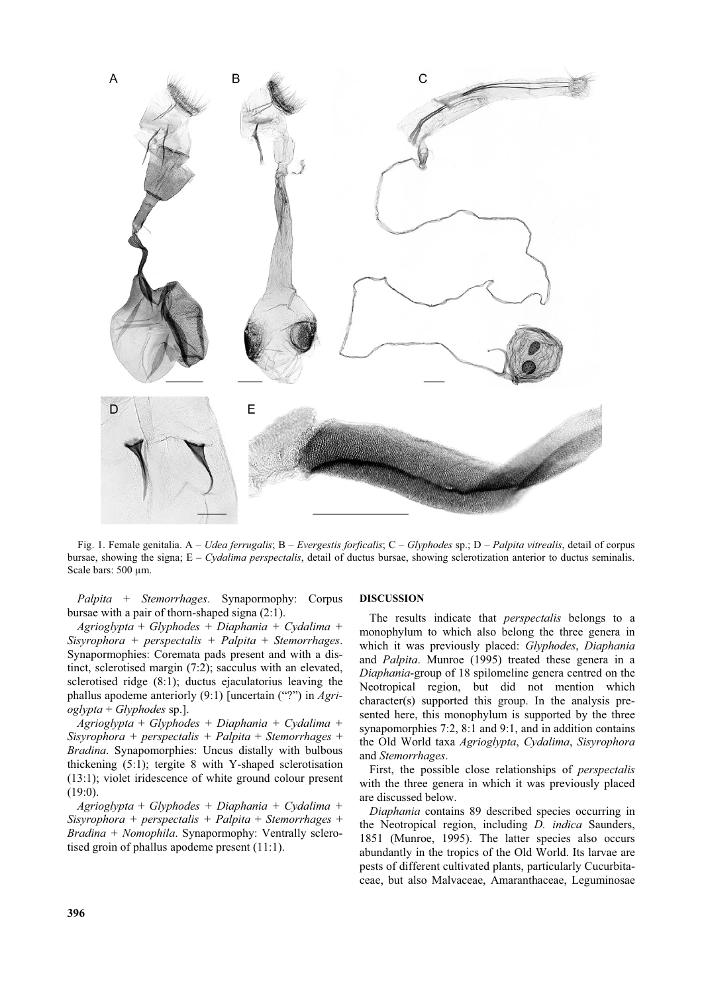

Fig. 1. Female genitalia. A – *Udea ferrugalis*; B – *Evergestis forficalis*; C – *Glyphodes* sp.; D – *Palpita vitrealis*, detail of corpus bursae, showing the signa; E – *Cydalima perspectalis*, detail of ductus bursae, showing sclerotization anterior to ductus seminalis. Scale bars: 500 µm.

*Palpita* + *Stemorrhages*. Synapormophy: Corpus bursae with a pair of thorn-shaped signa (2:1).

*Agrioglypta* + *Glyphodes + Diaphania + Cydalima + Sisyrophora + perspectalis + Palpita* + *Stemorrhages*. Synapormophies: Coremata pads present and with a distinct, sclerotised margin (7:2); sacculus with an elevated, sclerotised ridge (8:1); ductus ejaculatorius leaving the phallus apodeme anteriorly (9:1) [uncertain ("?") in *Agrioglypta* + *Glyphodes* sp.].

*Agrioglypta* + *Glyphodes + Diaphania + Cydalima + Sisyrophora + perspectalis + Palpita* + *Stemorrhages* + *Bradina*. Synapomorphies: Uncus distally with bulbous thickening (5:1); tergite 8 with Y-shaped sclerotisation (13:1); violet iridescence of white ground colour present (19:0).

*Agrioglypta* + *Glyphodes + Diaphania + Cydalima + Sisyrophora + perspectalis + Palpita* + *Stemorrhages* + *Bradina + Nomophila*. Synapormophy: Ventrally sclerotised groin of phallus apodeme present (11:1).

#### **DISCUSSION**

The results indicate that *perspectalis* belongs to a monophylum to which also belong the three genera in which it was previously placed: *Glyphodes*, *Diaphania* and *Palpita*. Munroe (1995) treated these genera in a *Diaphania*-group of 18 spilomeline genera centred on the Neotropical region, but did not mention which character(s) supported this group. In the analysis presented here, this monophylum is supported by the three synapomorphies 7:2, 8:1 and 9:1, and in addition contains the Old World taxa *Agrioglypta*, *Cydalima*, *Sisyrophora* and *Stemorrhages*.

First, the possible close relationships of *perspectalis* with the three genera in which it was previously placed are discussed below.

*Diaphania* contains 89 described species occurring in the Neotropical region, including *D. indica* Saunders, 1851 (Munroe, 1995). The latter species also occurs abundantly in the tropics of the Old World. Its larvae are pests of different cultivated plants, particularly Cucurbitaceae, but also Malvaceae, Amaranthaceae, Leguminosae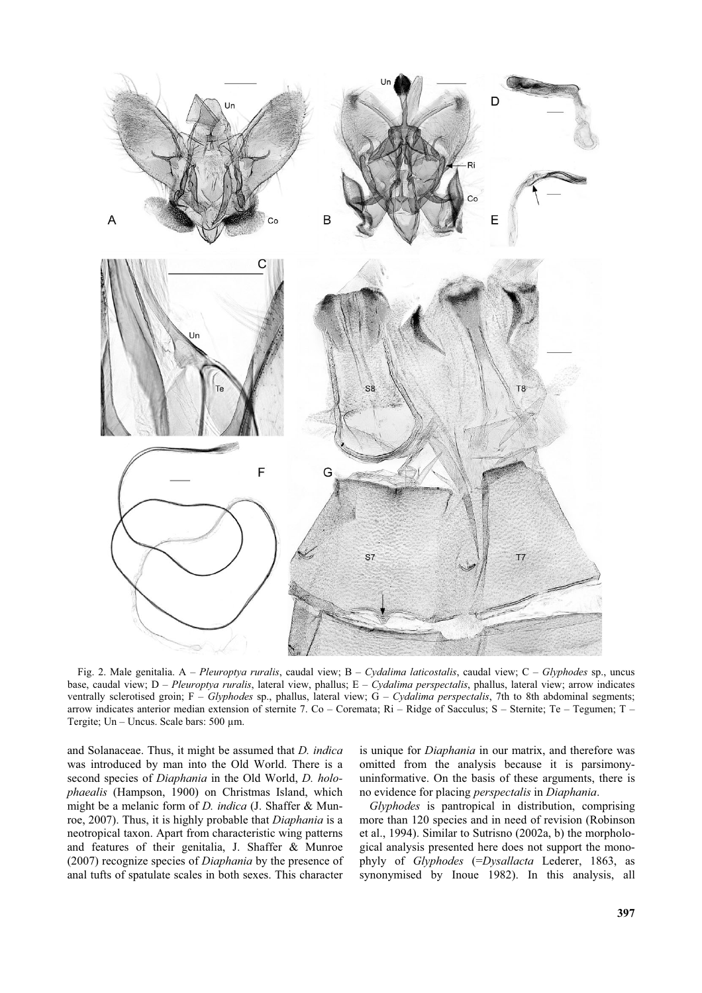

Fig. 2. Male genitalia. A – *Pleuroptya ruralis*, caudal view; B – *Cydalima laticostalis*, caudal view; C – *Glyphodes* sp., uncus base, caudal view; D – *Pleuroptya ruralis*, lateral view, phallus; E – *Cydalima perspectalis*, phallus, lateral view; arrow indicates ventrally sclerotised groin; F – *Glyphodes* sp., phallus, lateral view; G – *Cydalima perspectalis*, 7th to 8th abdominal segments; arrow indicates anterior median extension of sternite 7. Co – Coremata;  $\text{Ri}$  – Ridge of Sacculus; S – Sternite; Te – Tegumen; T – Tergite; Un – Uncus. Scale bars: 500 µm.

and Solanaceae. Thus, it might be assumed that *D. indica* was introduced by man into the Old World. There is a second species of *Diaphania* in the Old World, *D. holophaealis* (Hampson, 1900) on Christmas Island, which might be a melanic form of *D. indica* (J. Shaffer & Munroe, 2007). Thus, it is highly probable that *Diaphania* is a neotropical taxon. Apart from characteristic wing patterns and features of their genitalia, J. Shaffer & Munroe (2007) recognize species of *Diaphania* by the presence of anal tufts of spatulate scales in both sexes. This character

is unique for *Diaphania* in our matrix, and therefore was omitted from the analysis because it is parsimonyuninformative. On the basis of these arguments, there is no evidence for placing *perspectalis* in *Diaphania*.

*Glyphodes* is pantropical in distribution, comprising more than 120 species and in need of revision (Robinson et al., 1994). Similar to Sutrisno (2002a, b) the morphological analysis presented here does not support the monophyly of *Glyphodes* (=*Dysallacta* Lederer, 1863, as synonymised by Inoue 1982). In this analysis, all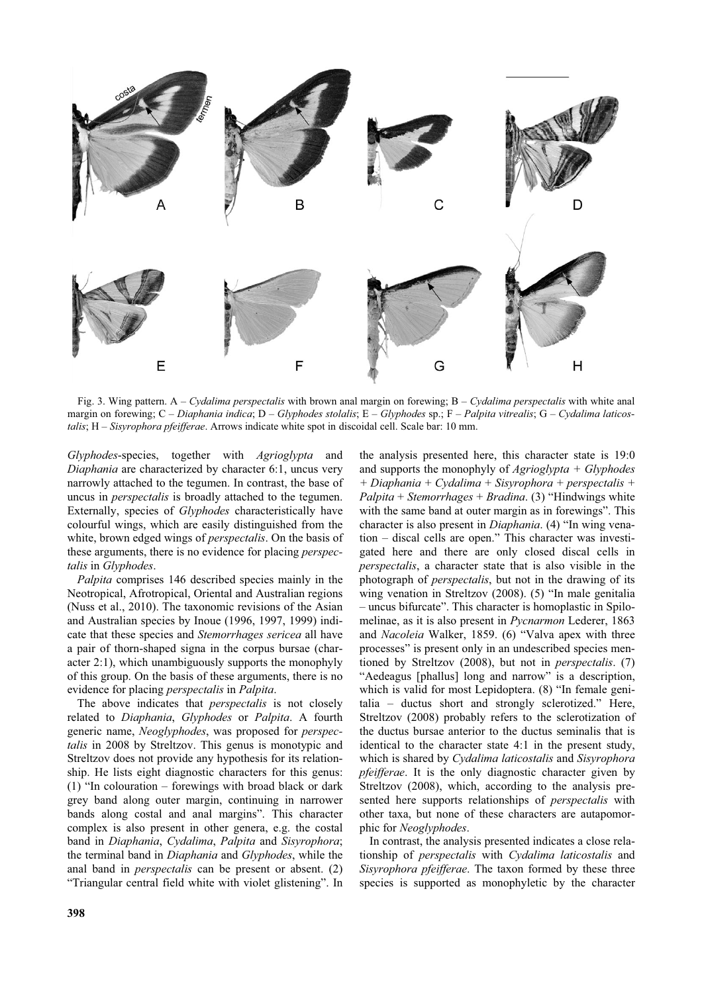

Fig. 3. Wing pattern. A – *Cydalima perspectalis* with brown anal margin on forewing; B – *Cydalima perspectalis* with white anal margin on forewing; C – *Diaphania indica*; D – *Glyphodes stolalis*; E – *Glyphodes* sp.; F – *Palpita vitrealis*; G – *Cydalima laticostalis*; H – *Sisyrophora pfeifferae*. Arrows indicate white spot in discoidal cell. Scale bar: 10 mm.

*Glyphodes*-species, together with *Agrioglypta* and *Diaphania* are characterized by character 6:1, uncus very narrowly attached to the tegumen. In contrast, the base of uncus in *perspectalis* is broadly attached to the tegumen. Externally, species of *Glyphodes* characteristically have colourful wings, which are easily distinguished from the white, brown edged wings of *perspectalis*. On the basis of these arguments, there is no evidence for placing *perspectalis* in *Glyphodes*.

*Palpita* comprises 146 described species mainly in the Neotropical, Afrotropical, Oriental and Australian regions (Nuss et al., 2010). The taxonomic revisions of the Asian and Australian species by Inoue (1996, 1997, 1999) indicate that these species and *Stemorrhages sericea* all have a pair of thorn-shaped signa in the corpus bursae (character 2:1), which unambiguously supports the monophyly of this group. On the basis of these arguments, there is no evidence for placing *perspectalis* in *Palpita*.

The above indicates that *perspectalis* is not closely related to *Diaphania*, *Glyphodes* or *Palpita*. A fourth generic name, *Neoglyphodes*, was proposed for *perspectalis* in 2008 by Streltzov. This genus is monotypic and Streltzov does not provide any hypothesis for its relationship. He lists eight diagnostic characters for this genus: (1) "In colouration – forewings with broad black or dark grey band along outer margin, continuing in narrower bands along costal and anal margins". This character complex is also present in other genera, e.g. the costal band in *Diaphania*, *Cydalima*, *Palpita* and *Sisyrophora*; the terminal band in *Diaphania* and *Glyphodes*, while the anal band in *perspectalis* can be present or absent. (2) "Triangular central field white with violet glistening". In

the analysis presented here, this character state is 19:0 and supports the monophyly of *Agrioglypta + Glyphodes + Diaphania + Cydalima + Sisyrophora + perspectalis + Palpita* + *Stemorrhages* + *Bradina*. (3) "Hindwings white with the same band at outer margin as in forewings". This character is also present in *Diaphania*. (4) "In wing venation – discal cells are open." This character was investigated here and there are only closed discal cells in *perspectalis*, a character state that is also visible in the photograph of *perspectalis*, but not in the drawing of its wing venation in Streltzov (2008). (5) "In male genitalia – uncus bifurcate". This character is homoplastic in Spilomelinae, as it is also present in *Pycnarmon* Lederer, 1863 and *Nacoleia* Walker, 1859. (6) "Valva apex with three processes" is present only in an undescribed species mentioned by Streltzov (2008), but not in *perspectalis*. (7) "Aedeagus [phallus] long and narrow" is a description, which is valid for most Lepidoptera. (8) "In female genitalia – ductus short and strongly sclerotized." Here, Streltzov (2008) probably refers to the sclerotization of the ductus bursae anterior to the ductus seminalis that is identical to the character state 4:1 in the present study, which is shared by *Cydalima laticostalis* and *Sisyrophora pfeifferae*. It is the only diagnostic character given by Streltzov (2008), which, according to the analysis presented here supports relationships of *perspectalis* with other taxa, but none of these characters are autapomorphic for *Neoglyphodes*.

In contrast, the analysis presented indicates a close relationship of *perspectalis* with *Cydalima laticostalis* and *Sisyrophora pfeifferae*. The taxon formed by these three species is supported as monophyletic by the character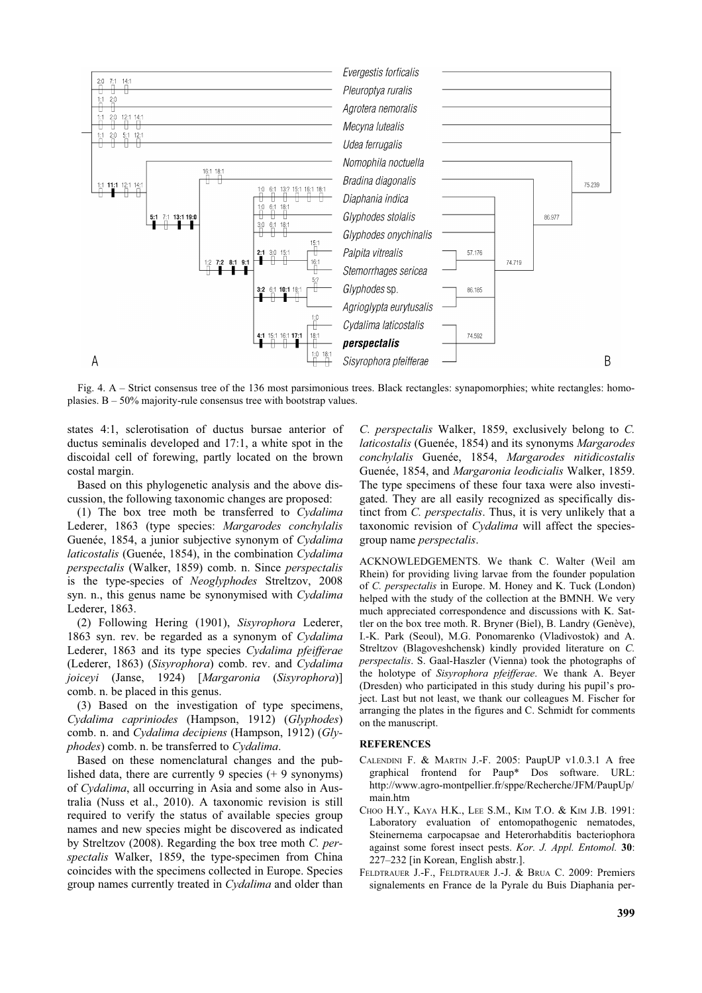

Fig. 4. A – Strict consensus tree of the 136 most parsimonious trees. Black rectangles: synapomorphies; white rectangles: homoplasies.  $B - 50\%$  majority-rule consensus tree with bootstrap values.

states 4:1, sclerotisation of ductus bursae anterior of ductus seminalis developed and 17:1, a white spot in the discoidal cell of forewing, partly located on the brown costal margin.

Based on this phylogenetic analysis and the above discussion, the following taxonomic changes are proposed:

(1) The box tree moth be transferred to *Cydalima* Lederer, 1863 (type species: *Margarodes conchylalis* Guenée, 1854, a junior subjective synonym of *Cydalima laticostalis* (Guenée, 1854), in the combination *Cydalima perspectalis* (Walker, 1859) comb. n. Since *perspectalis* is the type-species of *Neoglyphodes* Streltzov, 2008 syn. n., this genus name be synonymised with *Cydalima* Lederer, 1863.

(2) Following Hering (1901), *Sisyrophora* Lederer, 1863 syn. rev. be regarded as a synonym of *Cydalima* Lederer, 1863 and its type species *Cydalima pfeifferae* (Lederer, 1863) (*Sisyrophora*) comb. rev. and *Cydalima joiceyi* (Janse, 1924) [*Margaronia* (*Sisyrophora*)] comb. n. be placed in this genus.

(3) Based on the investigation of type specimens, *Cydalima capriniodes* (Hampson, 1912) (*Glyphodes*) comb. n. and *Cydalima decipiens* (Hampson, 1912) (*Glyphodes*) comb. n. be transferred to *Cydalima*.

Based on these nomenclatural changes and the published data, there are currently 9 species (+ 9 synonyms) of *Cydalima*, all occurring in Asia and some also in Australia (Nuss et al., 2010). A taxonomic revision is still required to verify the status of available species group names and new species might be discovered as indicated by Streltzov (2008). Regarding the box tree moth *C. perspectalis* Walker, 1859, the type-specimen from China coincides with the specimens collected in Europe. Species group names currently treated in *Cydalima* and older than

*C. perspectalis* Walker, 1859, exclusively belong to *C. laticostalis* (Guenée, 1854) and its synonyms *Margarodes conchylalis* Guenée, 1854, *Margarodes nitidicostalis* Guenée, 1854, and *Margaronia leodicialis* Walker, 1859. The type specimens of these four taxa were also investigated. They are all easily recognized as specifically distinct from *C. perspectalis*. Thus, it is very unlikely that a taxonomic revision of *Cydalima* will affect the speciesgroup name *perspectalis*.

ACKNOWLEDGEMENTS. We thank C. Walter (Weil am Rhein) for providing living larvae from the founder population of *C. perspectalis* in Europe. M. Honey and K. Tuck (London) helped with the study of the collection at the BMNH. We very much appreciated correspondence and discussions with K. Sattler on the box tree moth. R. Bryner (Biel), B. Landry (Genève), I.-K. Park (Seoul), M.G. Ponomarenko (Vladivostok) and A. Streltzov (Blagoveshchensk) kindly provided literature on *C. perspectalis*. S. Gaal-Haszler (Vienna) took the photographs of the holotype of *Sisyrophora pfeifferae*. We thank A. Beyer (Dresden) who participated in this study during his pupil's project. Last but not least, we thank our colleagues M. Fischer for arranging the plates in the figures and C. Schmidt for comments on the manuscript.

## **REFERENCES**

- CALENDINI F. & MARTIN J.-F. 2005: PaupUP v1.0.3.1 A free graphical frontend for Paup\* Dos software. URL: http://www.agro-montpellier.fr/sppe/Recherche/JFM/PaupUp/ main.htm
- CHOO H.Y., KAYA H.K., LEE S.M., KIM T.O. & KIM J.B. 1991: Laboratory evaluation of entomopathogenic nematodes, Steinernema carpocapsae and Heterorhabditis bacteriophora against some forest insect pests. *Kor. J. Appl. Entomol.* **30**: 227–232 [in Korean, English abstr.].
- FELDTRAUER J.-F., FELDTRAUER J.-J. & BRUA C. 2009: Premiers signalements en France de la Pyrale du Buis Diaphania per-